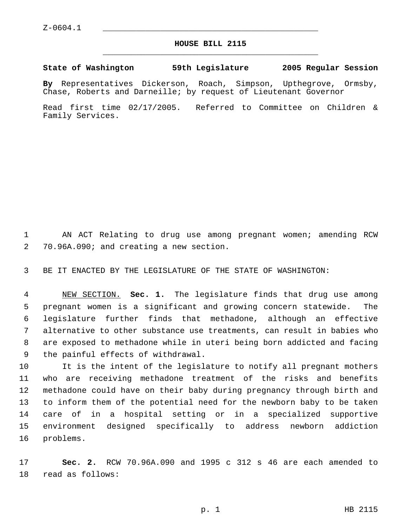## **HOUSE BILL 2115** \_\_\_\_\_\_\_\_\_\_\_\_\_\_\_\_\_\_\_\_\_\_\_\_\_\_\_\_\_\_\_\_\_\_\_\_\_\_\_\_\_\_\_\_\_

## **State of Washington 59th Legislature 2005 Regular Session**

**By** Representatives Dickerson, Roach, Simpson, Upthegrove, Ormsby, Chase, Roberts and Darneille; by request of Lieutenant Governor

Read first time 02/17/2005. Referred to Committee on Children & Family Services.

1 AN ACT Relating to drug use among pregnant women; amending RCW 70.96A.090; and creating a new section.

BE IT ENACTED BY THE LEGISLATURE OF THE STATE OF WASHINGTON:

 NEW SECTION. **Sec. 1.** The legislature finds that drug use among pregnant women is a significant and growing concern statewide. The legislature further finds that methadone, although an effective alternative to other substance use treatments, can result in babies who are exposed to methadone while in uteri being born addicted and facing the painful effects of withdrawal.

 It is the intent of the legislature to notify all pregnant mothers who are receiving methadone treatment of the risks and benefits methadone could have on their baby during pregnancy through birth and to inform them of the potential need for the newborn baby to be taken care of in a hospital setting or in a specialized supportive environment designed specifically to address newborn addiction problems.

 **Sec. 2.** RCW 70.96A.090 and 1995 c 312 s 46 are each amended to read as follows: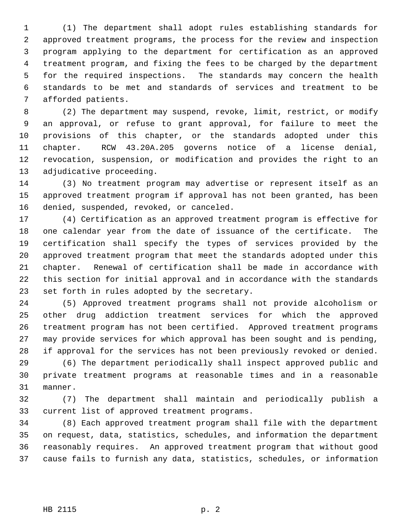(1) The department shall adopt rules establishing standards for approved treatment programs, the process for the review and inspection program applying to the department for certification as an approved treatment program, and fixing the fees to be charged by the department for the required inspections. The standards may concern the health standards to be met and standards of services and treatment to be afforded patients.

 (2) The department may suspend, revoke, limit, restrict, or modify an approval, or refuse to grant approval, for failure to meet the provisions of this chapter, or the standards adopted under this chapter. RCW 43.20A.205 governs notice of a license denial, revocation, suspension, or modification and provides the right to an adjudicative proceeding.

 (3) No treatment program may advertise or represent itself as an approved treatment program if approval has not been granted, has been denied, suspended, revoked, or canceled.

 (4) Certification as an approved treatment program is effective for one calendar year from the date of issuance of the certificate. The certification shall specify the types of services provided by the approved treatment program that meet the standards adopted under this chapter. Renewal of certification shall be made in accordance with this section for initial approval and in accordance with the standards set forth in rules adopted by the secretary.

 (5) Approved treatment programs shall not provide alcoholism or other drug addiction treatment services for which the approved treatment program has not been certified. Approved treatment programs may provide services for which approval has been sought and is pending, if approval for the services has not been previously revoked or denied.

 (6) The department periodically shall inspect approved public and private treatment programs at reasonable times and in a reasonable manner.

 (7) The department shall maintain and periodically publish a current list of approved treatment programs.

 (8) Each approved treatment program shall file with the department on request, data, statistics, schedules, and information the department reasonably requires. An approved treatment program that without good cause fails to furnish any data, statistics, schedules, or information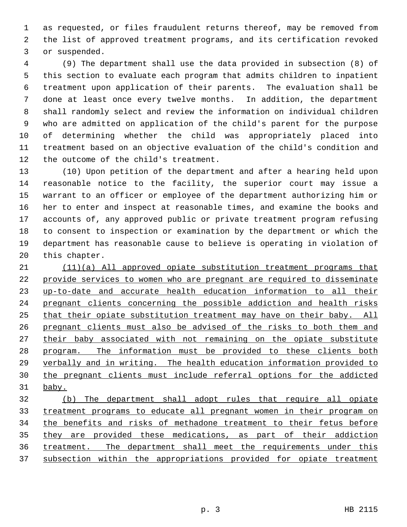as requested, or files fraudulent returns thereof, may be removed from the list of approved treatment programs, and its certification revoked or suspended.

 (9) The department shall use the data provided in subsection (8) of this section to evaluate each program that admits children to inpatient treatment upon application of their parents. The evaluation shall be done at least once every twelve months. In addition, the department shall randomly select and review the information on individual children who are admitted on application of the child's parent for the purpose of determining whether the child was appropriately placed into treatment based on an objective evaluation of the child's condition and the outcome of the child's treatment.

 (10) Upon petition of the department and after a hearing held upon reasonable notice to the facility, the superior court may issue a warrant to an officer or employee of the department authorizing him or her to enter and inspect at reasonable times, and examine the books and accounts of, any approved public or private treatment program refusing to consent to inspection or examination by the department or which the department has reasonable cause to believe is operating in violation of this chapter.

 (11)(a) All approved opiate substitution treatment programs that provide services to women who are pregnant are required to disseminate up-to-date and accurate health education information to all their pregnant clients concerning the possible addiction and health risks that their opiate substitution treatment may have on their baby. All pregnant clients must also be advised of the risks to both them and 27 their baby associated with not remaining on the opiate substitute program. The information must be provided to these clients both verbally and in writing. The health education information provided to the pregnant clients must include referral options for the addicted baby.

 (b) The department shall adopt rules that require all opiate treatment programs to educate all pregnant women in their program on 34 the benefits and risks of methadone treatment to their fetus before they are provided these medications, as part of their addiction treatment. The department shall meet the requirements under this subsection within the appropriations provided for opiate treatment